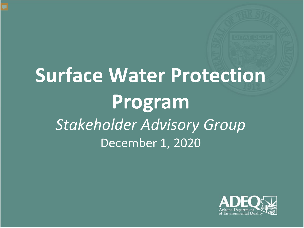# **Surface Water Protection Program** *Stakeholder Advisory Group* December 1, 2020

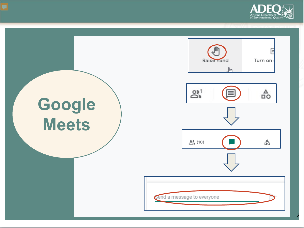

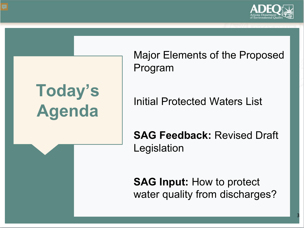

# **Today's Agenda**

Major Elements of the Proposed Program

Initial Protected Waters List

**SAG Feedback:** Revised Draft Legislation

**SAG Input:** How to protect water quality from discharges?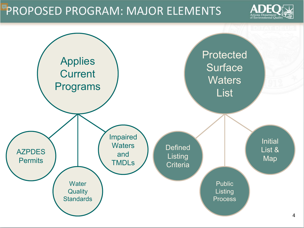#### PROPOSED PROGRAM: MAJOR ELEMENTS



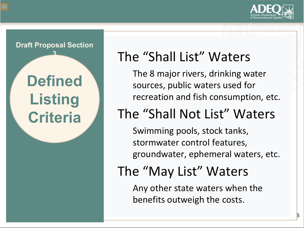



### The "Shall List" Waters

The 8 major rivers, drinking water sources, public waters used for recreation and fish consumption, etc.

### The "Shall Not List" Waters

Swimming pools, stock tanks, stormwater control features, groundwater, ephemeral waters, etc.

### The "May List" Waters

Any other state waters when the benefits outweigh the costs.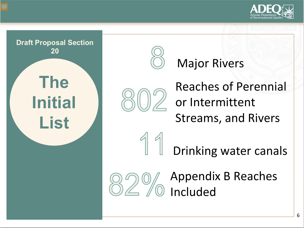





#### Major Rivers



Reaches of Perennial or Intermittent Streams, and Rivers



Drinking water canals

![](_page_5_Picture_8.jpeg)

Appendix B Reaches Included

6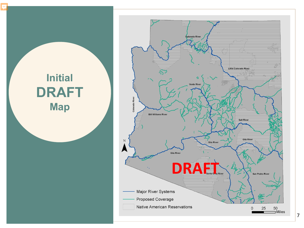![](_page_6_Figure_0.jpeg)

 $50$ <br>  $\Box$  Miles 25 0

San Pedro River

**Salt River** 

Gila River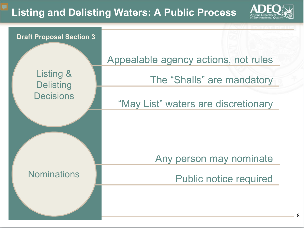#### **Listing and Delisting Waters: A Public Process**

![](_page_7_Picture_1.jpeg)

![](_page_7_Figure_2.jpeg)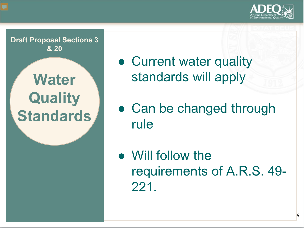![](_page_8_Picture_0.jpeg)

**Water Quality Standards Draft Proposal Sections 3 & 20** 

• Current water quality standards will apply

• Can be changed through rule

● Will follow the requirements of A.R.S. 49- 221.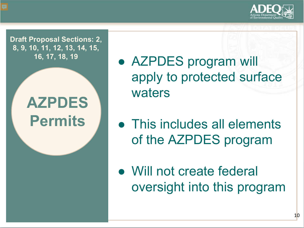![](_page_9_Picture_0.jpeg)

**Draft Proposal Sections: 2, 8, 9, 10, 11, 12, 13, 14, 15,** 

## **AZPDES Permits**

- 16, 17, 18, 19  **AZPDES** program will apply to protected surface waters
	- This includes all elements of the AZPDES program
	- Will not create federal oversight into this program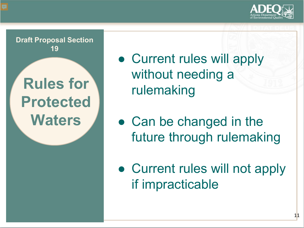![](_page_10_Picture_0.jpeg)

![](_page_10_Picture_1.jpeg)

• Current rules will apply without needing a rulemaking

• Can be changed in the future through rulemaking

• Current rules will not apply if impracticable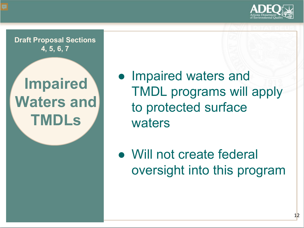![](_page_11_Picture_0.jpeg)

**Draft Proposal Sections 4, 5, 6, 7** 

## **Impaired Waters and TMDLs**

● Impaired waters and TMDL programs will apply to protected surface waters

● Will not create federal oversight into this program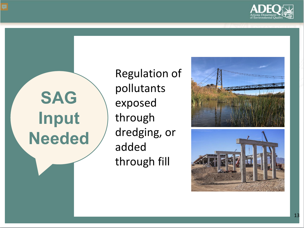![](_page_12_Picture_0.jpeg)

# **SAG Input Needed**

Regulation of pollutants exposed through dredging, or added through fil l

![](_page_12_Picture_3.jpeg)

![](_page_12_Picture_4.jpeg)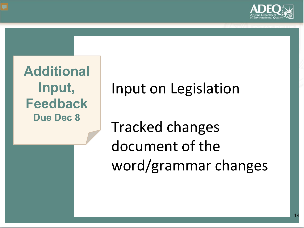![](_page_13_Picture_0.jpeg)

**Additional Input, Feedback Due Dec 8**

Input on Legislation

Tracked changes document of the word/grammar changes